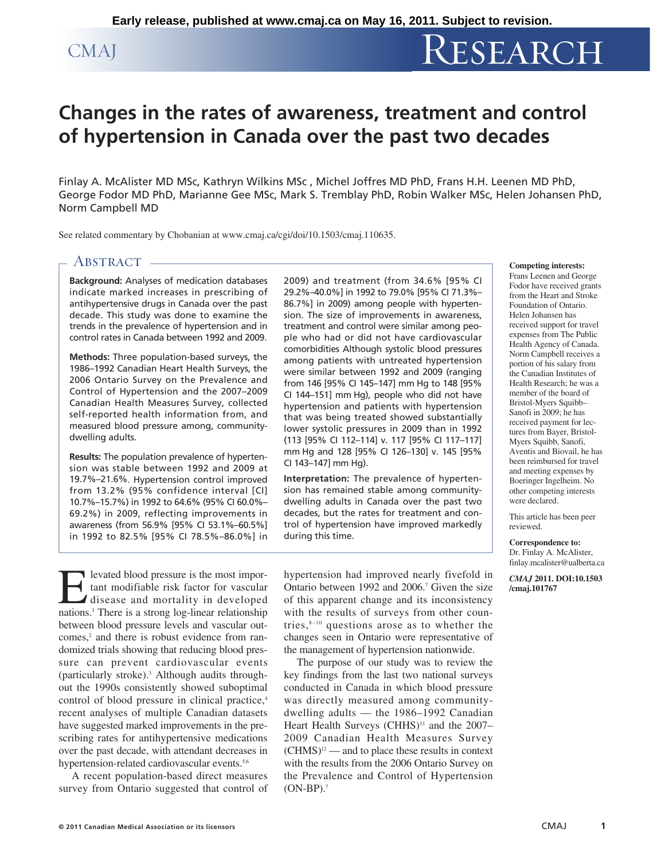# CMAJ RESEARCH

# **Changes in the rates of awareness, treatment and control of hypertension in Canada over the past two decades**

Finlay A. McAlister MD MSc, Kathryn Wilkins MSc , Michel Joffres MD PhD, Frans H.H. Leenen MD PhD, George Fodor MD PhD, Marianne Gee MSc, Mark S. Tremblay PhD, Robin Walker MSc, Helen Johansen PhD, Norm Campbell MD

See related commentary by Chobanian at www.cmaj.ca/cgi/doi/10.1503/cmaj.110635.

# **ABSTRACT**

**Background:** Analyses of medication databases indicate marked increases in prescribing of antihypertensive drugs in Canada over the past decade. This study was done to examine the trends in the prevalence of hypertension and in control rates in Canada between 1992 and 2009.

**Methods:** Three population-based surveys, the 1986–1992 Canadian Heart Health Surveys, the 2006 Ontario Survey on the Prevalence and Control of Hypertension and the 2007–2009 Canadian Health Measures Survey, collected self-reported health information from, and measured blood pressure among, communitydwelling adults.

**Results:** The population prevalence of hypertension was stable between 1992 and 2009 at 19.7%–21.6%. Hypertension control improved from 13.2% (95% confidence interval [CI] 10.7%–15.7%) in 1992 to 64.6% (95% CI 60.0%– 69.2%) in 2009, reflecting improvements in awareness (from 56.9% [95% CI 53.1%–60.5%] in 1992 to 82.5% [95% CI 78.5%–86.0%] in

2009) and treatment (from 34.6% [95% CI 29.2%–40.0%] in 1992 to 79.0% [95% CI 71.3%– 86.7%] in 2009) among people with hypertension. The size of improvements in awareness, treatment and control were similar among people who had or did not have cardiovascular comorbidities Although systolic blood pressures among patients with untreated hypertension were similar between 1992 and 2009 (ranging from 146 [95% CI 145–147] mm Hg to 148 [95% CI 144–151] mm Hg), people who did not have hypertension and patients with hypertension that was being treated showed substantially lower systolic pressures in 2009 than in 1992 (113 [95% CI 112–114] v. 117 [95% CI 117–117] mm Hg and 128 [95% CI 126–130] v. 145 [95% CI 143–147] mm Hg).

**Interpretation:** The prevalence of hypertension has remained stable among communitydwelling adults in Canada over the past two decades, but the rates for treatment and control of hypertension have improved markedly during this time.

Elevated blood pressure is the most important modifiable risk factor for vascular disease and mortality in developed nations.1 There is a strong log-linear relationship between blood pressure levels and vascular outcomes,<sup>2</sup> and there is robust evidence from randomized trials showing that reducing blood pressure can prevent cardiovascular events (particularly stroke).3 Although audits throughout the 1990s consistently showed suboptimal control of blood pressure in clinical practice,<sup>4</sup> recent analyses of multiple Canadian datasets have suggested marked improvements in the prescribing rates for antihypertensive medications over the past decade, with attendant decreases in hypertension-related cardiovascular events.<sup>5,6</sup>

A recent population-based direct measures survey from Ontario suggested that control of hypertension had improved nearly fivefold in Ontario between 1992 and 2006.<sup>7</sup> Given the size of this apparent change and its inconsistency with the results of surveys from other countries, $8-10$  questions arose as to whether the changes seen in Ontario were representative of the management of hypertension nationwide.

The purpose of our study was to review the key findings from the last two national surveys conducted in Canada in which blood pressure was directly measured among communitydwelling adults — the 1986–1992 Canadian Heart Health Surveys  $(CHHS)^{11}$  and the 2007– 2009 Canadian Health Measures Survey  $(CHMS)^{12}$  — and to place these results in context with the results from the 2006 Ontario Survey on the Prevalence and Control of Hypertension  $(ON-BP).<sup>7</sup>$ 

#### **Competing interests:**

Frans Leenen and George Fodor have received grants from the Heart and Stroke Foundation of Ontario. Helen Johansen has received support for travel expenses from The Public Health Agency of Canada. Norm Campbell receives a portion of his salary from the Canadian Institutes of Health Research; he was a member of the board of Bristol-Myers Squibb– Sanofi in 2009; he has received payment for lectures from Bayer, Bristol-Myers Squibb, Sanofi, Aventis and Biovail, he has been reimbursed for travel and meeting expenses by Boeringer Ingelheim. No other competing interests were declared.

This article has been peer reviewed.

**Correspondence to:**  Dr. Finlay A. McAlister, finlay .mcalister@ualberta .ca

*CMAJ* **2011. DOI:10.1503 /cmaj.101767**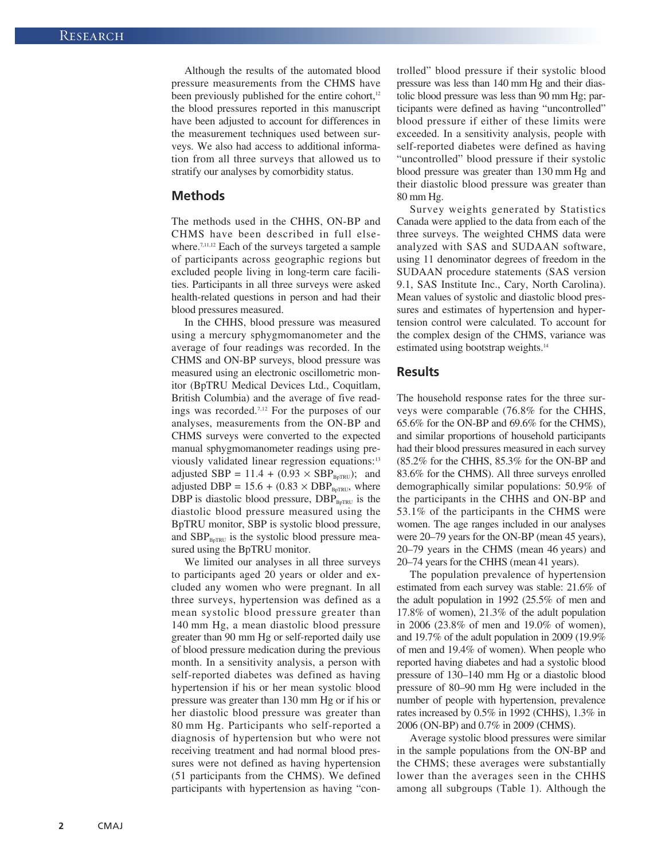Although the results of the automated blood pressure measurements from the CHMS have been previously published for the entire cohort, $12$ the blood pressures reported in this manuscript have been adjusted to account for differences in the measurement techniques used between surveys. We also had access to additional information from all three surveys that allowed us to stratify our analyses by comorbidity status.

## **Methods**

The methods used in the CHHS, ON-BP and CHMS have been described in full elsewhere.<sup>7,11,12</sup> Each of the surveys targeted a sample of participants across geographic regions but excluded people living in long-term care facilities. Participants in all three surveys were asked health-related questions in person and had their blood pressures measured.

In the CHHS, blood pressure was measured using a mercury sphygmomanometer and the average of four readings was recorded. In the CHMS and ON-BP surveys, blood pressure was measured using an electronic oscillometric monitor (BpTRU Medical Devices Ltd., Coquitlam, British Columbia) and the average of five readings was recorded.7,12 For the purposes of our analyses, measurements from the ON-BP and CHMS surveys were converted to the expected manual sphygmomanometer readings using previously validated linear regression equations:<sup>13</sup> adjusted SBP =  $11.4 + (0.93 \times SBP_{BpTRU})$ ; and adjusted DBP =  $15.6 + (0.83 \times DBP_{BpTRU}$ , where DBP is diastolic blood pressure,  $DBP_{BpTRU}$  is the diastolic blood pressure measured using the BpTRU monitor, SBP is systolic blood pressure, and  $SBP<sub>BpTRU</sub>$  is the systolic blood pressure measured using the BpTRU monitor.

We limited our analyses in all three surveys to participants aged 20 years or older and excluded any women who were pregnant. In all three surveys, hypertension was defined as a mean systolic blood pressure greater than 140 mm Hg, a mean diastolic blood pressure greater than 90 mm Hg or self-reported daily use of blood pressure medication during the previous month. In a sensitivity analysis, a person with self-reported diabetes was defined as having hypertension if his or her mean systolic blood pressure was greater than 130 mm Hg or if his or her diastolic blood pressure was greater than 80 mm Hg. Participants who self-reported a diagnosis of hypertension but who were not receiving treatment and had normal blood pressures were not defined as having hypertension (51 participants from the CHMS). We defined participants with hypertension as having "controlled" blood pressure if their systolic blood pressure was less than 140 mm Hg and their diastolic blood pressure was less than 90 mm Hg; participants were defined as having "uncontrolled" blood pressure if either of these limits were exceeded. In a sensitivity analysis, people with self-reported diabetes were defined as having "uncontrolled" blood pressure if their systolic blood pressure was greater than 130 mm Hg and their diastolic blood pressure was greater than 80 mm Hg.

Survey weights generated by Statistics Canada were applied to the data from each of the three surveys. The weighted CHMS data were analyzed with SAS and SUDAAN software, using 11 denominator degrees of freedom in the SUDAAN procedure statements (SAS version 9.1, SAS Institute Inc., Cary, North Carolina). Mean values of systolic and diastolic blood pressures and estimates of hypertension and hypertension control were calculated. To account for the complex design of the CHMS, variance was estimated using bootstrap weights.<sup>14</sup>

#### **Results**

The household response rates for the three surveys were comparable (76.8% for the CHHS, 65.6% for the ON-BP and 69.6% for the CHMS), and similar proportions of household participants had their blood pressures measured in each survey (85.2% for the CHHS, 85.3% for the ON-BP and 83.6% for the CHMS). All three surveys enrolled demographically similar populations: 50.9% of the participants in the CHHS and ON-BP and 53.1% of the participants in the CHMS were women. The age ranges included in our analyses were 20–79 years for the ON-BP (mean 45 years), 20–79 years in the CHMS (mean 46 years) and 20–74 years for the CHHS (mean 41 years).

The population prevalence of hypertension estimated from each survey was stable: 21.6% of the adult population in 1992 (25.5% of men and 17.8% of women), 21.3% of the adult population in 2006 (23.8% of men and 19.0% of women), and 19.7% of the adult population in 2009 (19.9% of men and 19.4% of women). When people who reported having diabetes and had a systolic blood pressure of 130–140 mm Hg or a diastolic blood pressure of 80–90 mm Hg were included in the number of people with hypertension, prevalence rates increased by 0.5% in 1992 (CHHS), 1.3% in 2006 (ON-BP) and 0.7% in 2009 (CHMS).

Average systolic blood pressures were similar in the sample populations from the ON-BP and the CHMS; these averages were substantially lower than the averages seen in the CHHS among all subgroups (Table 1). Although the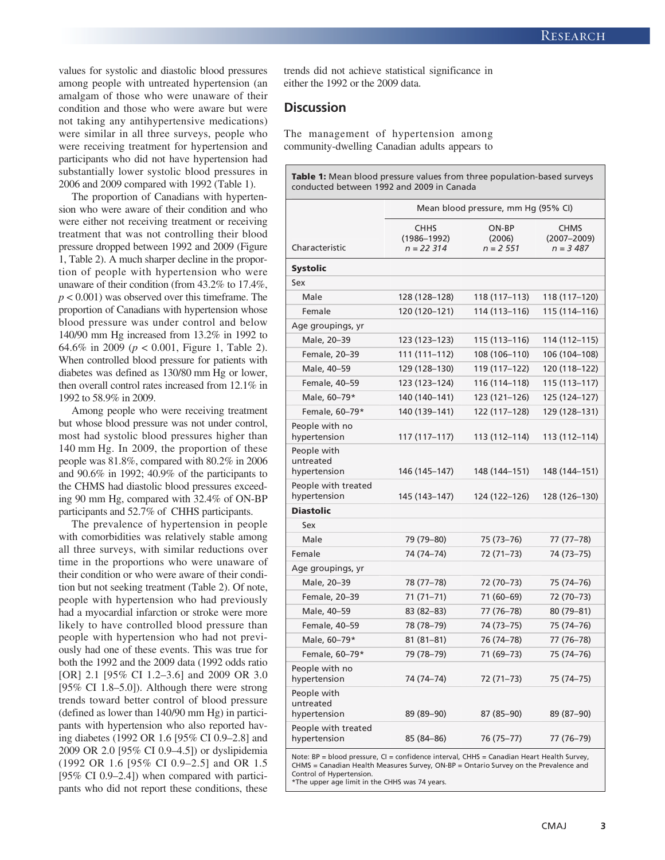values for systolic and diastolic blood pressures among people with untreated hypertension (an amalgam of those who were unaware of their condition and those who were aware but were not taking any antihypertensive medications) were similar in all three surveys, people who were receiving treatment for hypertension and participants who did not have hypertension had substantially lower systolic blood pressures in 2006 and 2009 compared with 1992 (Table 1).

The proportion of Canadians with hypertension who were aware of their condition and who were either not receiving treatment or receiving treatment that was not controlling their blood pressure dropped between 1992 and 2009 (Figure 1, Table 2). A much sharper decline in the proportion of people with hypertension who were unaware of their condition (from 43.2% to 17.4%, *p* < 0.001) was observed over this timeframe. The proportion of Canadians with hypertension whose blood pressure was under control and below 140/90 mm Hg increased from 13.2% in 1992 to 64.6% in 2009 (*p* < 0.001, Figure 1, Table 2). When controlled blood pressure for patients with diabetes was defined as 130/80 mm Hg or lower, then overall control rates increased from 12.1% in 1992 to 58.9% in 2009.

Among people who were receiving treatment but whose blood pressure was not under control, most had systolic blood pressures higher than 140 mm Hg. In 2009, the proportion of these people was 81.8%, compared with 80.2% in 2006 and 90.6% in 1992; 40.9% of the participants to the CHMS had diastolic blood pressures exceeding 90 mm Hg, compared with 32.4% of ON-BP participants and 52.7% of CHHS participants.

The prevalence of hypertension in people with comorbidities was relatively stable among all three surveys, with similar reductions over time in the proportions who were unaware of their condition or who were aware of their condition but not seeking treatment (Table 2). Of note, people with hypertension who had previously had a myocardial infarction or stroke were more likely to have controlled blood pressure than people with hypertension who had not previously had one of these events. This was true for both the 1992 and the 2009 data (1992 odds ratio [OR] 2.1 [95% CI 1.2–3.6] and 2009 OR 3.0 [95% CI 1.8–5.0]). Although there were strong trends toward better control of blood pressure (defined as lower than 140/90 mm Hg) in participants with hypertension who also reported having diabetes (1992 OR 1.6 [95% CI 0.9–2.8] and 2009 OR 2.0 [95% CI 0.9–4.5]) or dyslipidemia (1992 OR 1.6 [95% CI 0.9–2.5] and OR 1.5 [95% CI 0.9–2.4]) when compared with participants who did not report these conditions, these trends did not achieve statistical significance in either the 1992 or the 2009 data.

## **Discussion**

The management of hypertension among community-dwelling Canadian adults appears to

**Table 1:** Mean blood pressure values from three population-based surveys conducted between 1992 and 2009 in Canada

| ON-BP<br><b>CHHS</b><br><b>CHMS</b><br>$(1986 - 1992)$<br>$(2007 - 2009)$<br>(2006)<br>Characteristic<br>$n = 22314$<br>$n = 2551$<br>$n = 3,487$<br><b>Systolic</b><br>Sex<br>Male<br>128 (128-128)<br>118 (117–113)<br>118 (117-120)<br>Female<br>120 (120-121)<br>114 (113-116)<br>115 (114-116)<br>Age groupings, yr<br>Male, 20-39<br>123 (123–123)<br>115 (113–116)<br>114 (112–115)<br>Female, 20-39<br>111 (111-112)<br>108 (106-110)<br>106 (104-108)<br>Male, 40-59<br>129 (128–130)<br>119 (117–122)<br>120 (118–122)<br>Female, 40-59<br>123 (123–124)<br>116 (114–118)<br>115 (113–117)<br>Male, 60-79*<br>140 (140-141)<br>123 (121-126)<br>125 (124-127)<br>Female, 60-79*<br>140 (139-141)<br>122 (117-128)<br>129 (128-131)<br>People with no<br>hypertension<br>117 (117–117)<br>113 (112–114)<br>113 (112–114)<br>People with<br>untreated<br>146 (145–147)<br>148 (144–151)<br>148 (144–151)<br>hypertension<br>People with treated<br>hypertension<br>145 (143–147)<br>124 (122–126)<br>128 (126–130) |
|----------------------------------------------------------------------------------------------------------------------------------------------------------------------------------------------------------------------------------------------------------------------------------------------------------------------------------------------------------------------------------------------------------------------------------------------------------------------------------------------------------------------------------------------------------------------------------------------------------------------------------------------------------------------------------------------------------------------------------------------------------------------------------------------------------------------------------------------------------------------------------------------------------------------------------------------------------------------------------------------------------------------------|
|                                                                                                                                                                                                                                                                                                                                                                                                                                                                                                                                                                                                                                                                                                                                                                                                                                                                                                                                                                                                                            |
|                                                                                                                                                                                                                                                                                                                                                                                                                                                                                                                                                                                                                                                                                                                                                                                                                                                                                                                                                                                                                            |
|                                                                                                                                                                                                                                                                                                                                                                                                                                                                                                                                                                                                                                                                                                                                                                                                                                                                                                                                                                                                                            |
|                                                                                                                                                                                                                                                                                                                                                                                                                                                                                                                                                                                                                                                                                                                                                                                                                                                                                                                                                                                                                            |
|                                                                                                                                                                                                                                                                                                                                                                                                                                                                                                                                                                                                                                                                                                                                                                                                                                                                                                                                                                                                                            |
|                                                                                                                                                                                                                                                                                                                                                                                                                                                                                                                                                                                                                                                                                                                                                                                                                                                                                                                                                                                                                            |
|                                                                                                                                                                                                                                                                                                                                                                                                                                                                                                                                                                                                                                                                                                                                                                                                                                                                                                                                                                                                                            |
|                                                                                                                                                                                                                                                                                                                                                                                                                                                                                                                                                                                                                                                                                                                                                                                                                                                                                                                                                                                                                            |
|                                                                                                                                                                                                                                                                                                                                                                                                                                                                                                                                                                                                                                                                                                                                                                                                                                                                                                                                                                                                                            |
|                                                                                                                                                                                                                                                                                                                                                                                                                                                                                                                                                                                                                                                                                                                                                                                                                                                                                                                                                                                                                            |
|                                                                                                                                                                                                                                                                                                                                                                                                                                                                                                                                                                                                                                                                                                                                                                                                                                                                                                                                                                                                                            |
|                                                                                                                                                                                                                                                                                                                                                                                                                                                                                                                                                                                                                                                                                                                                                                                                                                                                                                                                                                                                                            |
|                                                                                                                                                                                                                                                                                                                                                                                                                                                                                                                                                                                                                                                                                                                                                                                                                                                                                                                                                                                                                            |
|                                                                                                                                                                                                                                                                                                                                                                                                                                                                                                                                                                                                                                                                                                                                                                                                                                                                                                                                                                                                                            |
|                                                                                                                                                                                                                                                                                                                                                                                                                                                                                                                                                                                                                                                                                                                                                                                                                                                                                                                                                                                                                            |
| <b>Diastolic</b>                                                                                                                                                                                                                                                                                                                                                                                                                                                                                                                                                                                                                                                                                                                                                                                                                                                                                                                                                                                                           |
| Sex                                                                                                                                                                                                                                                                                                                                                                                                                                                                                                                                                                                                                                                                                                                                                                                                                                                                                                                                                                                                                        |
| Male<br>79 (79-80)<br>75 (73-76)<br>77 (77–78)                                                                                                                                                                                                                                                                                                                                                                                                                                                                                                                                                                                                                                                                                                                                                                                                                                                                                                                                                                             |
| Female<br>74 (74–74)<br>72 (71–73)<br>74 (73–75)                                                                                                                                                                                                                                                                                                                                                                                                                                                                                                                                                                                                                                                                                                                                                                                                                                                                                                                                                                           |
| Age groupings, yr                                                                                                                                                                                                                                                                                                                                                                                                                                                                                                                                                                                                                                                                                                                                                                                                                                                                                                                                                                                                          |
| Male, 20-39<br>78 (77-78)<br>72 (70-73)<br>75 (74-76)                                                                                                                                                                                                                                                                                                                                                                                                                                                                                                                                                                                                                                                                                                                                                                                                                                                                                                                                                                      |
| Female, 20-39<br>71 (71–71)<br>71 (60-69)<br>72 (70-73)                                                                                                                                                                                                                                                                                                                                                                                                                                                                                                                                                                                                                                                                                                                                                                                                                                                                                                                                                                    |
| Male, 40-59<br>83 (82-83)<br>77 (76-78)<br>80 (79-81)                                                                                                                                                                                                                                                                                                                                                                                                                                                                                                                                                                                                                                                                                                                                                                                                                                                                                                                                                                      |
| Female, 40-59<br>78 (78-79)<br>74 (73-75)<br>75 (74-76)                                                                                                                                                                                                                                                                                                                                                                                                                                                                                                                                                                                                                                                                                                                                                                                                                                                                                                                                                                    |
| Male, 60-79*<br>81 (81–81)<br>76 (74–78)<br>77 (76–78)                                                                                                                                                                                                                                                                                                                                                                                                                                                                                                                                                                                                                                                                                                                                                                                                                                                                                                                                                                     |
| Female, 60-79*<br>79 (78–79)<br>71 (69–73)<br>75 (74–76)                                                                                                                                                                                                                                                                                                                                                                                                                                                                                                                                                                                                                                                                                                                                                                                                                                                                                                                                                                   |
| People with no<br>74 (74-74)<br>hypertension<br>72 (71–73)<br>75 (74–75)                                                                                                                                                                                                                                                                                                                                                                                                                                                                                                                                                                                                                                                                                                                                                                                                                                                                                                                                                   |
| People with<br>untreated<br>hypertension<br>89 (89–90)<br>87 (85–90)<br>89 (87–90)                                                                                                                                                                                                                                                                                                                                                                                                                                                                                                                                                                                                                                                                                                                                                                                                                                                                                                                                         |
| People with treated<br>hypertension<br>85 (84–86)<br>76 (75–77)<br>77 (76–79)                                                                                                                                                                                                                                                                                                                                                                                                                                                                                                                                                                                                                                                                                                                                                                                                                                                                                                                                              |

Note: BP = blood pressure, CI = confidence interval, CHHS = Canadian Heart Health Survey, CHMS = Canadian Health Measures Survey, ON-BP = Ontario Survey on the Prevalence and Control of Hypertension.

\*The upper age limit in the CHHS was 74 years.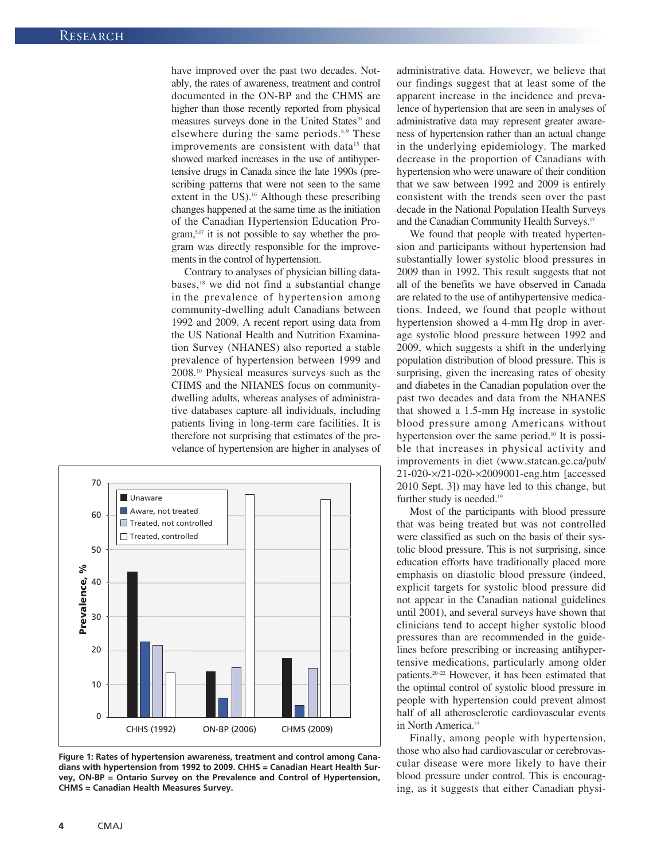have improved over the past two decades. Notably, the rates of awareness, treatment and control documented in the ON-BP and the CHMS are higher than those recently reported from physical measures surveys done in the United States<sup>10</sup> and elsewhere during the same periods.<sup>8,9</sup> These improvements are consistent with data<sup>15</sup> that showed marked increases in the use of antihypertensive drugs in Canada since the late 1990s (prescribing patterns that were not seen to the same extent in the US).<sup>16</sup> Although these prescribing changes happened at the same time as the initiation of the Canadian Hypertension Education Program,5,17 it is not possible to say whether the program was directly responsible for the improvements in the control of hypertension.

Contrary to analyses of physician billing databases,<sup>18</sup> we did not find a substantial change in the prevalence of hypertension among community -dwelling adult Canadians between 1992 and 2009. A recent report using data from the US National Health and Nutrition Examination Survey (NHANES) also reported a stable prevalence of hypertension between 1999 and 2008.10 Physical measures surveys such as the CHMS and the NHANES focus on communitydwelling adults, whereas analyses of administrative databases capture all individuals, including patients living in long-term care facilities. It is therefore not surprising that estimates of the prevelance of hypertension are higher in analyses of



**Figure 1: Rates of hypertension awareness, treatment and control among Canadians with hypertension from 1992 to 2009. CHHS = Canadian Heart Health Survey, ON-BP = Ontario Survey on the Prevalence and Control of Hypertension, CHMS = Canadian Health Measures Survey.**

administrative data. However, we believe that our findings suggest that at least some of the apparent increase in the incidence and prevalence of hypertension that are seen in analyses of administrative data may represent greater awareness of hypertension rather than an actual change in the underlying epidemiology. The marked decrease in the proportion of Canadians with hypertension who were unaware of their condition that we saw between 1992 and 2009 is entirely consistent with the trends seen over the past decade in the National Population Health Surveys and the Canadian Community Health Surveys.17

We found that people with treated hypertension and participants without hypertension had substantially lower systolic blood pressures in 2009 than in 1992. This result suggests that not all of the benefits we have observed in Canada are related to the use of antihypertensive medications. Indeed, we found that people without hypertension showed a 4-mm Hg drop in average systolic blood pressure between 1992 and 2009, which suggests a shift in the underlying population distribution of blood pressure. This is surprising, given the increasing rates of obesity and diabetes in the Canadian population over the past two decades and data from the NHANES that showed a 1.5-mm Hg increase in systolic blood pressure among Americans without hypertension over the same period.<sup>10</sup> It is possible that increases in physical activity and improvements in diet (www.statcan.gc.ca/pub/ 21-020 -×/21-020-×2009001-eng .htm [accessed 2010 Sept. 3]) may have led to this change, but further study is needed.<sup>19</sup>

Most of the participants with blood pressure that was being treated but was not controlled were classified as such on the basis of their systolic blood pressure. This is not surprising, since education efforts have traditionally placed more emphasis on diastolic blood pressure (indeed, explicit targets for systolic blood pressure did not appear in the Canadian national guidelines until 2001), and several surveys have shown that clinicians tend to accept higher systolic blood pressures than are recommended in the guidelines before prescribing or increasing antihypertensive medications, particularly among older patients.20–22 However, it has been estimated that the optimal control of systolic blood pressure in people with hypertension could prevent almost half of all atherosclerotic cardiovascular events in North America.<sup>23</sup>

Finally, among people with hypertension, those who also had cardiovascular or cerebrovascular disease were more likely to have their blood pressure under control. This is encouraging, as it suggests that either Canadian physi-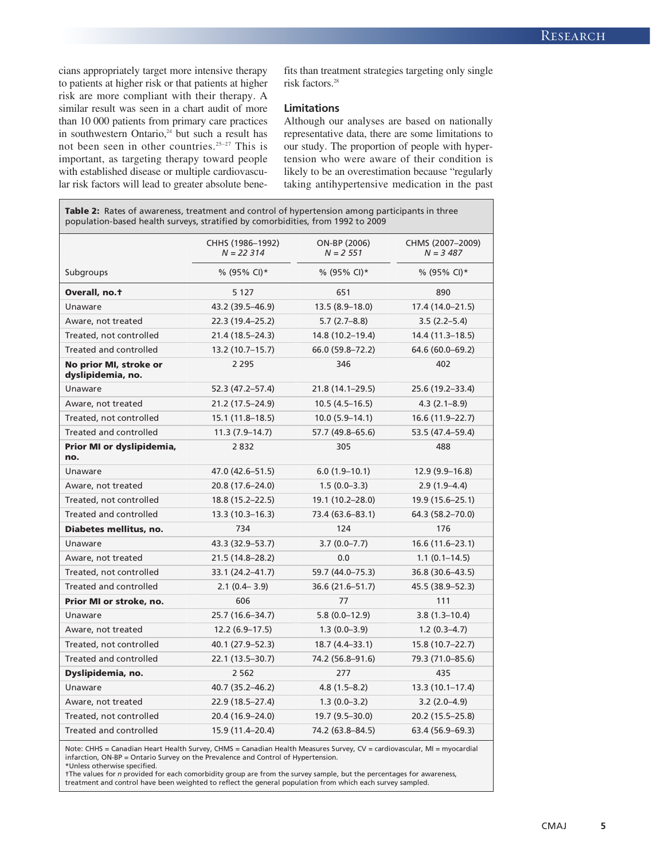cians appropriately target more intensive therapy to patients at higher risk or that patients at higher risk are more compliant with their therapy. A similar result was seen in a chart audit of more than 10 000 patients from primary care practices in southwestern Ontario,<sup>24</sup> but such a result has not been seen in other countries.25–27 This is important, as targeting therapy toward people with established disease or multiple cardiovascular risk factors will lead to greater absolute benefits than treatment strategies targeting only single risk factors.28

#### **Limitations**

Although our analyses are based on nationally representative data, there are some limitations to our study. The proportion of people with hypertension who were aware of their condition is likely to be an overestimation because "regularly taking antihypertensive medication in the past

**Table 2:** Rates of awareness, treatment and control of hypertension among participants in three population-based health surveys, stratified by comorbidities, from 1992 to 2009

|                                             | CHHS (1986-1992)<br>$N = 22314$ | ON-BP (2006)<br>$N = 2,551$ | CHMS (2007-2009)<br>$N = 3,487$ |
|---------------------------------------------|---------------------------------|-----------------------------|---------------------------------|
| Subgroups                                   | % (95% CI) $*$                  | % (95% CI)*                 | % (95% CI) $*$                  |
| Overall, no.t                               | 5 1 2 7                         | 651                         | 890                             |
| Unaware                                     | 43.2 (39.5-46.9)                | $13.5(8.9-18.0)$            | 17.4 (14.0-21.5)                |
| Aware, not treated                          | 22.3 (19.4-25.2)                | $5.7(2.7-8.8)$              | $3.5(2.2-5.4)$                  |
| Treated, not controlled                     | 21.4 (18.5–24.3)                | 14.8 (10.2-19.4)            | 14.4 (11.3–18.5)                |
| Treated and controlled                      | 13.2 (10.7–15.7)                | 66.0 (59.8-72.2)            | 64.6 (60.0-69.2)                |
| No prior MI, stroke or<br>dyslipidemia, no. | 2 2 9 5                         | 346                         | 402                             |
| Unaware                                     | 52.3 (47.2-57.4)                | 21.8 (14.1-29.5)            | 25.6 (19.2-33.4)                |
| Aware, not treated                          | 21.2 (17.5–24.9)                | $10.5(4.5-16.5)$            | $4.3(2.1 - 8.9)$                |
| Treated, not controlled                     | $15.1(11.8-18.5)$               | $10.0(5.9-14.1)$            | 16.6 (11.9–22.7)                |
| Treated and controlled                      | $11.3(7.9 - 14.7)$              | 57.7 (49.8–65.6)            | 53.5 (47.4–59.4)                |
| Prior MI or dyslipidemia,<br>no.            | 2832                            | 305                         | 488                             |
| Unaware                                     | 47.0 (42.6-51.5)                | $6.0(1.9-10.1)$             | $12.9(9.9-16.8)$                |
| Aware, not treated                          | 20.8 (17.6-24.0)                | $1.5(0.0-3.3)$              | $2.9(1.9-4.4)$                  |
| Treated, not controlled                     | 18.8 (15.2–22.5)                | 19.1 (10.2-28.0)            | 19.9 (15.6-25.1)                |
| Treated and controlled                      | $13.3(10.3 - 16.3)$             | 73.4 (63.6-83.1)            | 64.3 (58.2-70.0)                |
| Diabetes mellitus, no.                      | 734                             | 124                         | 176                             |
| Unaware                                     | 43.3 (32.9–53.7)                | $3.7(0.0 - 7.7)$            | $16.6(11.6-23.1)$               |
| Aware, not treated                          | 21.5 (14.8-28.2)                | 0.0                         | $1.1(0.1-14.5)$                 |
| Treated, not controlled                     | 33.1 (24.2-41.7)                | 59.7 (44.0-75.3)            | 36.8 (30.6-43.5)                |
| Treated and controlled                      | $2.1(0.4 - 3.9)$                | 36.6 (21.6–51.7)            | 45.5 (38.9–52.3)                |
| Prior MI or stroke, no.                     | 606                             | 77                          | 111                             |
| Unaware                                     | 25.7 (16.6-34.7)                | $5.8(0.0-12.9)$             | $3.8(1.3 - 10.4)$               |
| Aware, not treated                          | $12.2(6.9-17.5)$                | $1.3(0.0 - 3.9)$            | $1.2(0.3-4.7)$                  |
| Treated, not controlled                     | 40.1 (27.9–52.3)                | $18.7(4.4-33.1)$            | 15.8 (10.7-22.7)                |
| Treated and controlled                      | 22.1 (13.5–30.7)                | 74.2 (56.8-91.6)            | 79.3 (71.0-85.6)                |
| Dyslipidemia, no.                           | 2 5 6 2                         | 277                         | 435                             |
| Unaware                                     | 40.7 (35.2-46.2)                | $4.8(1.5-8.2)$              | $13.3(10.1-17.4)$               |
| Aware, not treated                          | 22.9 (18.5-27.4)                | $1.3(0.0-3.2)$              | $3.2(2.0-4.9)$                  |
| Treated, not controlled                     | 20.4 (16.9-24.0)                | 19.7 (9.5-30.0)             | 20.2 (15.5–25.8)                |
| <b>Treated and controlled</b>               | 15.9 (11.4-20.4)                | 74.2 (63.8-84.5)            | 63.4 (56.9-69.3)                |

Note: CHHS = Canadian Heart Health Survey, CHMS = Canadian Health Measures Survey, CV = cardiovascular, MI = myocardial infarction, ON-BP = Ontario Survey on the Prevalence and Control of Hypertension. \*Unless otherwise specified.

†The values for *n* provided for each comorbidity group are from the survey sample, but the percentages for awareness,<br>treatment and control have been weighted to reflect the general population from which each survey sampl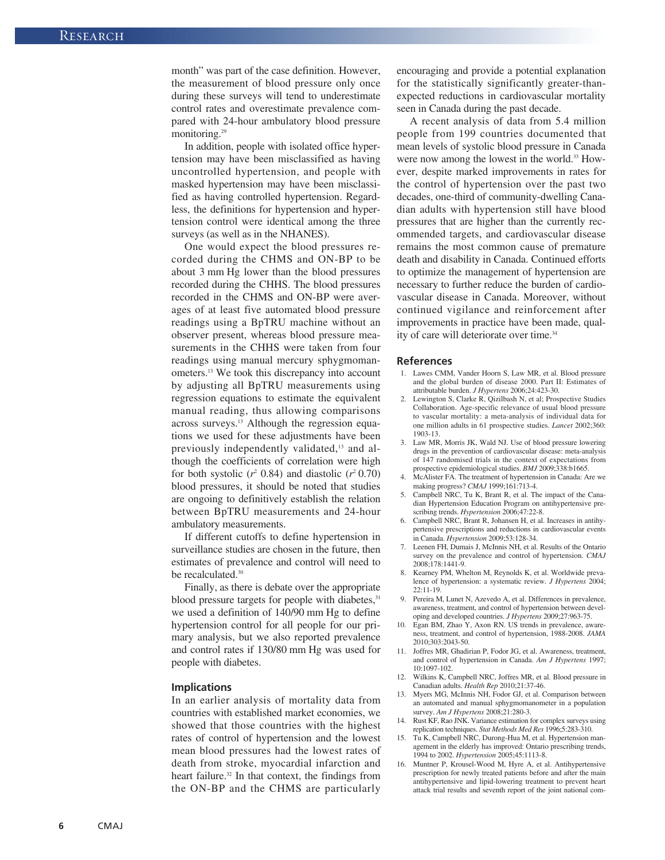month" was part of the case definition. However, the measurement of blood pressure only once during these surveys will tend to underestimate control rates and overestimate prevalence compared with 24-hour ambulatory blood pressure monitoring.<sup>29</sup>

In addition, people with isolated office hypertension may have been misclassified as having uncontrolled hypertension, and people with masked hypertension may have been misclassified as having controlled hypertension. Regardless, the definitions for hypertension and hypertension control were identical among the three surveys (as well as in the NHANES).

One would expect the blood pressures recorded during the CHMS and ON-BP to be about 3 mm Hg lower than the blood pressures recorded during the CHHS. The blood pressures recorded in the CHMS and ON-BP were averages of at least five automated blood pressure readings using a BpTRU machine without an observer present, whereas blood pressure measurements in the CHHS were taken from four readings using manual mercury sphygmomanometers.13 We took this discrepancy into account by adjusting all BpTRU measurements using regression equations to estimate the equivalent manual reading, thus allowing comparisons across surveys.13 Although the regression equations we used for these adjustments have been previously independently validated,<sup>13</sup> and although the coefficients of correlation were high for both systolic  $(r^2 0.84)$  and diastolic  $(r^2 0.70)$ blood pressures, it should be noted that studies are ongoing to definitively establish the relation between BpTRU measurements and 24-hour ambulatory measurements.

If different cutoffs to define hypertension in surveillance studies are chosen in the future, then estimates of prevalence and control will need to be recalculated.<sup>30</sup>

Finally, as there is debate over the appropriate blood pressure targets for people with diabetes,<sup>31</sup> we used a definition of 140/90 mm Hg to define hypertension control for all people for our primary analysis, but we also reported prevalence and control rates if 130/80 mm Hg was used for people with diabetes.

#### **Implications**

In an earlier analysis of mortality data from countries with established market economies, we showed that those countries with the highest rates of control of hypertension and the lowest mean blood pressures had the lowest rates of death from stroke, myocardial infarction and heart failure.<sup>32</sup> In that context, the findings from the ON-BP and the CHMS are particularly encouraging and provide a potential explanation for the statistically significantly greater-thanexpected reductions in cardiovascular mortality seen in Canada during the past decade.

A recent analysis of data from 5.4 million people from 199 countries documented that mean levels of systolic blood pressure in Canada were now among the lowest in the world.<sup>33</sup> However, despite marked improvements in rates for the control of hypertension over the past two decades, one-third of community-dwelling Canadian adults with hypertension still have blood pressures that are higher than the currently recommended targets, and cardiovascular disease remains the most common cause of premature death and disability in Canada. Continued efforts to optimize the management of hypertension are necessary to further reduce the burden of cardiovascular disease in Canada. Moreover, without continued vigilance and reinforcement after improvements in practice have been made, quality of care will deteriorate over time.<sup>34</sup>

#### **References**

- 1. Lawes CMM, Vander Hoorn S, Law MR, et al. Blood pressure and the global burden of disease 2000. Part II: Estimates of attributable burden. *J Hypertens* 2006;24:423-30.
- 2. Lewington S, Clarke R, Qizilbash N, et al; Prospective Studies Collaboration. Age-specific relevance of usual blood pressure to vascular mortality: a meta-analysis of individual data for one million adults in 61 prospective studies. *Lancet* 2002;360: 1903-13.
- 3. Law MR, Morris JK, Wald NJ. Use of blood pressure lowering drugs in the prevention of cardiovascular disease: meta-analysis of 147 randomised trials in the context of expectations from prospective epidemiological studies. *BMJ* 2009;338:b1665.
- 4. McAlister FA. The treatment of hypertension in Canada: Are we making progress? *CMAJ* 1999;161:713-4.
- 5. Campbell NRC, Tu K, Brant R, et al. The impact of the Canadian Hypertension Education Program on antihypertensive prescribing trends. *Hypertension* 2006;47:22-8.
- 6. Campbell NRC, Brant R, Johansen H, et al. Increases in antihypertensive prescriptions and reductions in cardiovascular events in Canada. *Hypertension* 2009;53:128-34.
- 7. Leenen FH, Dumais J, McInnis NH, et al. Results of the Ontario survey on the prevalence and control of hypertension. *CMAJ* 2008; 178:1441-9.
- 8. Kearney PM, Whelton M, Reynolds K, et al. Worldwide prevalence of hypertension: a systematic review. *J Hypertens* 2004; 22: 11-19.
- 9. Pereira M, Lunet N, Azevedo A, et al. Differences in prevalence, awareness, treatment, and control of hypertension between developing and developed countries. *J Hypertens* 2009;27:963-75.
- 10. Egan BM, Zhao Y, Axon RN. US trends in prevalence, awareness, treatment, and control of hypertension, 1988-2008. *JAMA* 2010; 303:2043-50.
- 11. Joffres MR, Ghadirian P, Fodor JG, et al. Awareness, treatment, and control of hypertension in Canada. *Am J Hypertens* 1997; 10: 1097-102.
- 12. Wilkins K, Campbell NRC, Joffres MR, et al. Blood pressure in Canadian adults. *Health Rep* 2010;21:37-46.
- 13. Myers MG, McInnis NH, Fodor GJ, et al. Comparison between an automated and manual sphygmomanometer in a population survey. *Am J Hypertens* 2008;21:280-3.
- 14. Rust KF, Rao JNK. Variance estimation for complex surveys using replication techniques. *Stat Methods Med Res* 1996;5:283-310.
- 15. Tu K, Campbell NRC, Durong-Hua M, et al. Hypertension management in the elderly has improved: Ontario prescribing trends, 1994 to 2002. *Hypertension* 2005;45:1113-8.
- 16. Muntner P, Krousel-Wood M, Hyre A, et al. Antihypertensive prescription for newly treated patients before and after the main antihypertensive and lipid-lowering treatment to prevent heart attack trial results and seventh report of the joint national com-